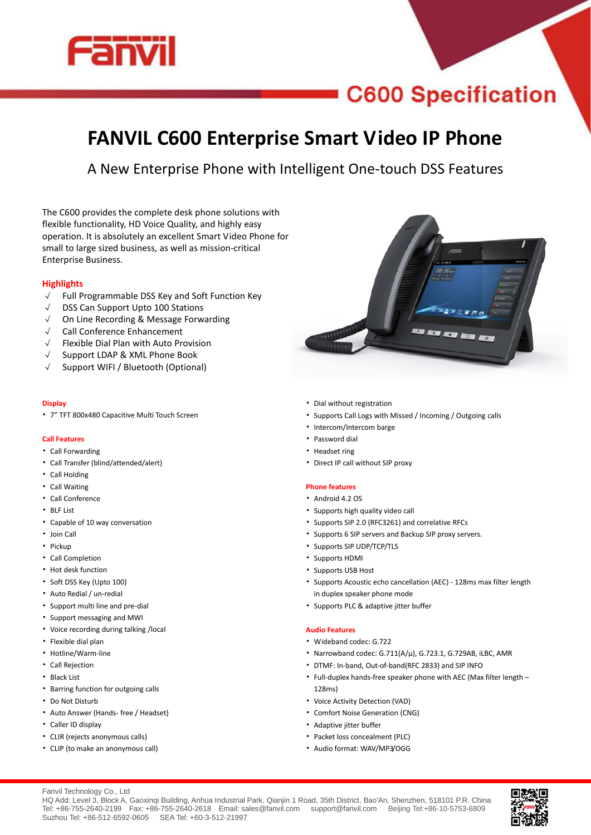

# **C600 Specification**

## **FANVIL C600 Enterprise Smart Video IP Phone**

A New Enterprise Phone with Intelligent One-touch DSS Features

The C600 provides the complete desk phone solutions with flexible functionality, HD Voice Quality, and highly easy operation. It is absolutely an excellent Smart Video Phone for small to large sized business, as well as mission-critical Enterprise Business.

### **Highlights**

- √ Full Programmable DSS Key and Soft Function Key
- √ DSS Can Support Upto 100 Stations
- √ On Line Recording & Message Forwarding
- √ Call Conference Enhancement
- √ Flexible Dial Plan with Auto Provision
- √ Support LDAP & XML Phone Book
- √ Support WIFI / Bluetooth (Optional)

### **Display**

• 7" TFT 800x480 Capacitive Multi Touch Screen

### **Call Features**

- Call Forwarding
- Call Transfer (blind/attended/alert)
- Call Holding
- Call Waiting
- Call Conference
- BLF List
- Capable of 10 way conversation
- Join Call
- Pickup
- Call Completion
- Hot desk function
- Soft DSS Key (Upto 100)
- Auto Redial / un-redial
- Support multi line and pre-dial
- Support messaging and MWI
- Voice recording during talking /local
- Flexible dial plan
- Hotline/Warm-line
- Call Rejection
- Black List
- Barring function for outgoing calls
- Do Not Disturb
- Auto Answer (Hands- free / Headset)
- Caller ID display
- CLIR (rejects anonymous calls)
- CLIP (to make an anonymous call)
- Dial without registration
- Supports Call Logs with Missed / Incoming / Outgoing calls
- Intercom/Intercom barge
- Password dial
- Headset ring
- Direct IP call without SIP proxy

### **Phone features**

- Android 4.2 OS
- Supports high quality video call
- Supports SIP 2.0 (RFC3261) and correlative RFCs
- Supports 6 SIP servers and Backup SIP proxy servers.
- Supports SIP UDP/TCP/TLS
- Supports HDMI
- Supports USB Host
- Supports Acoustic echo cancellation (AEC) 128ms max filter length in duplex speaker phone mode
- Supports PLC & adaptive jitter buffer

### **Audio Features**

- Wideband codec: G.722
- Narrowband codec: G.711(A/μ), G.723.1, G.729AB, iLBC, AMR
- DTMF: In-band, Out-of-band(RFC 2833) and SIP INFO
- Full-duplex hands-free speaker phone with AEC (Max filter length 128ms)
- Voice Activity Detection (VAD)
- Comfort Noise Generation (CNG)
- Adaptive jitter buffer
- Packet loss concealment (PLC)
- Audio format: WAV/MP3/OGG